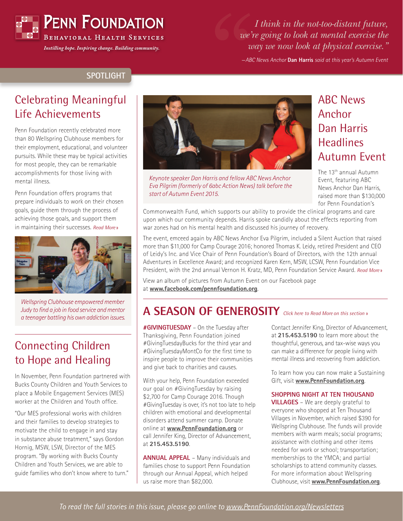

*Instilling hope. Inspiring change. Building community.*

*I think in the not-too-distant future, we're going to look at mental exercise the way we now look at physical exercise."*

—*ABC News Anchor* **Dan Harris** *said at this year's Autumn Event*

#### **SPOTLIGHT**

### Celebrating Meaningful Life Achievements

Penn Foundation recently celebrated more than 80 Wellspring Clubhouse members for their employment, educational, and volunteer pursuits. While these may be typical activities for most people, they can be remarkable accomplishments for those living with mental illness.

Penn Foundation offers programs that prepare individuals to work on their chosen goals, guide them through the process of achieving those goals, and support them in maintaining their successes. *[Read More](https://www.pennfoundation.org/news-and-events/celebrating-meaningful-life-achievements.html)* »



*Wellspring Clubhouse empowered member Judy to find a job in food service and mentor a teenager battling his own addiction issues.* 

## Connecting Children to Hope and Healing

In November, Penn Foundation partnered with Bucks County Children and Youth Services to place a Mobile Engagement Services (MES) worker at the Children and Youth office.

"Our MES professional works with children and their families to develop strategies to motivate the child to engage in and stay in substance abuse treatment," says Gordon Hornig, MSW, LSW, Director of the MES program. "By working with Bucks County Children and Youth Services, we are able to guide families who don't know where to turn."



*Keynote speaker Dan Harris and fellow ABC News Anchor Eva Pilgrim (formerly of 6abc Action News) talk before the start of Autumn Event 2015.*

## ABC News Anchor Dan Harris **Headlines** Autumn Event

The 13th annual Autumn Event, featuring ABC News Anchor Dan Harris, raised more than \$130,000 for Penn Foundation's

Commonwealth Fund, which supports our ability to provide the clinical programs and care upon which our community depends. Harris spoke candidly about the effects reporting from war zones had on his mental health and discussed his journey of recovery.

The event, emceed again by ABC News Anchor Eva Pilgrim, included a Silent Auction that raised more than \$11,000 for Camp Courage 2016; honored Thomas K. Leidy, retired President and CEO of Leidy's Inc. and Vice Chair of Penn Foundation's Board of Directors, with the 12th annual Adventures in Excellence Award; and recognized Karen Kern, MSW, LCSW, Penn Foundation Vice President, with the 2nd annual Vernon H. Kratz, MD, Penn Foundation Service Award. *[Read More](https://www.pennfoundation.org/news-and-events/abc-news-anchor-dan-harris-headlines-autumn-event.html)* »

View an album of pictures from Autumn Event on our Facebook page at **www.facebook.com/pennfoundation.org**.

# **A SEASON OF GENEROSITY** *[Click here to Read More](https://www.pennfoundation.org/news-and-events/a-season-of-generosity.html) on this section* »

**#GIVINGTUESDAY** – On the Tuesday after Thanksgiving, Penn Foundation joined #GivingTuesdayBucks for the third year and #GivingTuesdayMontCo for the first time to inspire people to improve their communities and give back to charities and causes.

With your help, Penn Foundation exceeded our goal on #GivingTuesday by raising \$2,700 for Camp Courage 2016. Though #GivingTuesday is over, it's not too late to help children with emotional and developmental disorders attend summer camp. Donate online at **www.PennFoundation.org** or call Jennifer King, Director of Advancement, at **215.453.5190**.

**ANNUAL APPEAL** – Many individuals and families chose to support Penn Foundation through our Annual Appeal, which helped us raise more than \$82,000.

Contact Jennifer King, Director of Advancement, at **215.453.5190** to learn more about the thoughtful, generous, and tax-wise ways you can make a difference for people living with mental illness and recovering from addiction.

To learn how you can now make a Sustaining Gift, visit **www.PennFoundation.org**.

#### **SHOPPING NIGHT AT TEN THOUSAND**

**VILLAGES** – We are deeply grateful to everyone who shopped at Ten Thousand Villages in November, which raised \$390 for Wellspring Clubhouse. The funds will provide members with warm meals; social programs; assistance with clothing and other items needed for work or school; transportation; memberships to the YMCA; and partial scholarships to attend community classes. For more information about Wellspring Clubhouse, visit **www.PennFoundation.org**.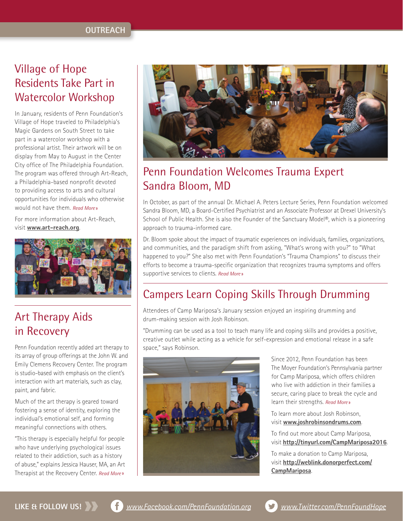## Village of Hope Residents Take Part in Watercolor Workshop

In January, residents of Penn Foundation's Village of Hope traveled to Philadelphia's Magic Gardens on South Street to take part in a watercolor workshop with a professional artist. Their artwork will be on display from May to August in the Center City office of The Philadelphia Foundation. The program was offered through Art-Reach, a Philadelphia-based nonprofit devoted to providing access to arts and cultural opportunities for individuals who otherwise would not have them. *[Read More](https://www.pennfoundation.org/news-and-events/village-of-hope-residents-take-part-in-watercolor-workshop.html)* »

For more information about Art-Reach, visit **www.art-reach.org**.



# Art Therapy Aids in Recovery

Penn Foundation recently added art therapy to its array of group offerings at the John W. and Emily Clemens Recovery Center. The program is studio-based with emphasis on the client's interaction with art materials, such as clay, paint, and fabric.

Much of the art therapy is geared toward fostering a sense of identity, exploring the individual's emotional self, and forming meaningful connections with others.

"This therapy is especially helpful for people who have underlying psychological issues related to their addiction, such as a history of abuse," explains Jessica Hauser, MA, an Art Therapist at the Recovery Center. *[Read More](https://www.pennfoundation.org/news-and-events/art-therapy-aids-in-recovery.html)* »



# Penn Foundation Welcomes Trauma Expert Sandra Bloom, MD

In October, as part of the annual Dr. Michael A. Peters Lecture Series, Penn Foundation welcomed Sandra Bloom, MD, a Board-Certified Psychiatrist and an Associate Professor at Drexel University's School of Public Health. She is also the Founder of the Sanctuary Model®, which is a pioneering approach to trauma-informed care.

Dr. Bloom spoke about the impact of traumatic experiences on individuals, families, organizations, and communities, and the paradigm shift from asking, "What's wrong with you?" to "What happened to you?" She also met with Penn Foundation's "Trauma Champions" to discuss their efforts to become a trauma-specific organization that recognizes trauma symptoms and offers supportive services to clients. *[Read More](https://www.pennfoundation.org/news-and-events/penn-foundation-welcomes-trauma-expert-sandra-bloom-md.html)* »

# Campers Learn Coping Skills Through Drumming

Attendees of Camp Mariposa's January session enjoyed an inspiring drumming and drum-making session with Josh Robinson.

"Drumming can be used as a tool to teach many life and coping skills and provides a positive, creative outlet while acting as a vehicle for self-expression and emotional release in a safe space," says Robinson.



Since 2012, Penn Foundation has been The Moyer Foundation's Pennsylvania partner for Camp Mariposa, which offers children who live with addiction in their families a secure, caring place to break the cycle and learn their strengths. *[Read More](https://www.pennfoundation.org/news-and-events/campers-learn-coping-skills-through-drumming.html)* »

To learn more about Josh Robinson, visit **www.joshrobinsondrums.com**.

To find out more about Camp Mariposa, visit **http://tinyurl.com/CampMariposa2016**.

To make a donation to Camp Mariposa, visit **[http://weblink.donorperfect.com/](http://weblink.donorperfect.com/CampMariposa) CampMariposa**.

**LIKE & FOLLOW US!** *www.Facebook.com/PennFoundation.org <www.Twitter.com/PennFoundHope>*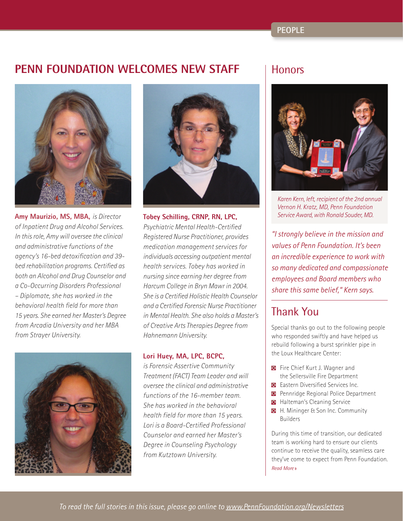#### **PEOPLE**

#### **PENN FOUNDATION WELCOMES NEW STAFF**



**Amy Maurizio, MS, MBA,** *is Director of Inpatient Drug and Alcohol Services. In this role, Amy will oversee the clinical and administrative functions of the agency's 16-bed detoxification and 39 bed rehabilitation programs. Certified as both an Alcohol and Drug Counselor and a Co-Occurring Disorders Professional – Diplomate, she has worked in the behavioral health field for more than 15 years. She earned her Master's Degree from Arcadia University and her MBA from Strayer University.*





**Tobey Schilling, CRNP, RN, LPC,** *Psychiatric Mental Health-Certified Registered Nurse Practitioner, provides medication management services for individuals accessing outpatient mental health services. Tobey has worked in nursing since earning her degree from Harcum College in Bryn Mawr in 2004. She is a Certified Holistic Health Counselor and a Certified Forensic Nurse Practitioner in Mental Health. She also holds a Master's of Creative Arts Therapies Degree from Hahnemann University.*

#### **Lori Huey, MA, LPC, BCPC,**

*is Forensic Assertive Community Treatment (FACT) Team Leader and will oversee the clinical and administrative functions of the 16-member team. She has worked in the behavioral health field for more than 15 years. Lori is a Board-Certified Professional Counselor and earned her Master's Degree in Counseling Psychology from Kutztown University.*

#### **Honors**



*Karen Kern, left, recipient of the 2nd annual Vernon H. Kratz, MD, Penn Foundation Service Award, with Ronald Souder, MD.*

*"I strongly believe in the mission and values of Penn Foundation. It's been an incredible experience to work with so many dedicated and compassionate employees and Board members who share this same belief," Kern says.*

#### Thank You

Special thanks go out to the following people who responded swiftly and have helped us rebuild following a burst sprinkler pipe in the Loux Healthcare Center:

- Fire Chief Kurt J. Wagner and the Sellersville Fire Department
- **E** Eastern Diversified Services Inc.
- **Pennridge Regional Police Department**
- **Halteman's Cleaning Service**
- **H.** Mininger & Son Inc. Community Builders

During this time of transition, our dedicated team is working hard to ensure our clients continue to receive the quality, seamless care they've come to expect from Penn Foundation. *[Read More](https://www.pennfoundation.org/news-and-events/thank-you.html)* »